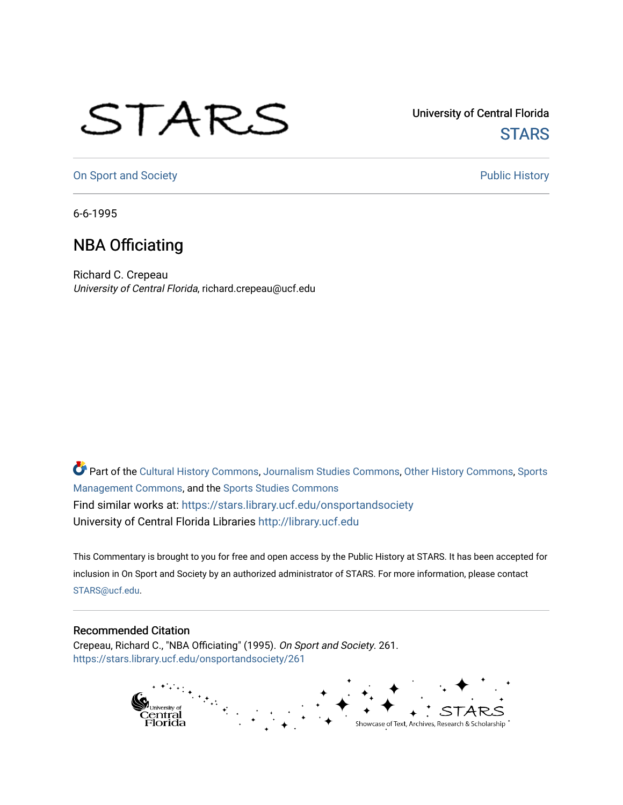## STARS

University of Central Florida **STARS** 

[On Sport and Society](https://stars.library.ucf.edu/onsportandsociety) **Public History** Public History

6-6-1995

## NBA Officiating

Richard C. Crepeau University of Central Florida, richard.crepeau@ucf.edu

Part of the [Cultural History Commons](http://network.bepress.com/hgg/discipline/496?utm_source=stars.library.ucf.edu%2Fonsportandsociety%2F261&utm_medium=PDF&utm_campaign=PDFCoverPages), [Journalism Studies Commons,](http://network.bepress.com/hgg/discipline/333?utm_source=stars.library.ucf.edu%2Fonsportandsociety%2F261&utm_medium=PDF&utm_campaign=PDFCoverPages) [Other History Commons,](http://network.bepress.com/hgg/discipline/508?utm_source=stars.library.ucf.edu%2Fonsportandsociety%2F261&utm_medium=PDF&utm_campaign=PDFCoverPages) [Sports](http://network.bepress.com/hgg/discipline/1193?utm_source=stars.library.ucf.edu%2Fonsportandsociety%2F261&utm_medium=PDF&utm_campaign=PDFCoverPages) [Management Commons](http://network.bepress.com/hgg/discipline/1193?utm_source=stars.library.ucf.edu%2Fonsportandsociety%2F261&utm_medium=PDF&utm_campaign=PDFCoverPages), and the [Sports Studies Commons](http://network.bepress.com/hgg/discipline/1198?utm_source=stars.library.ucf.edu%2Fonsportandsociety%2F261&utm_medium=PDF&utm_campaign=PDFCoverPages) Find similar works at: <https://stars.library.ucf.edu/onsportandsociety> University of Central Florida Libraries [http://library.ucf.edu](http://library.ucf.edu/) 

This Commentary is brought to you for free and open access by the Public History at STARS. It has been accepted for inclusion in On Sport and Society by an authorized administrator of STARS. For more information, please contact [STARS@ucf.edu](mailto:STARS@ucf.edu).

## Recommended Citation

Crepeau, Richard C., "NBA Officiating" (1995). On Sport and Society. 261. [https://stars.library.ucf.edu/onsportandsociety/261](https://stars.library.ucf.edu/onsportandsociety/261?utm_source=stars.library.ucf.edu%2Fonsportandsociety%2F261&utm_medium=PDF&utm_campaign=PDFCoverPages)

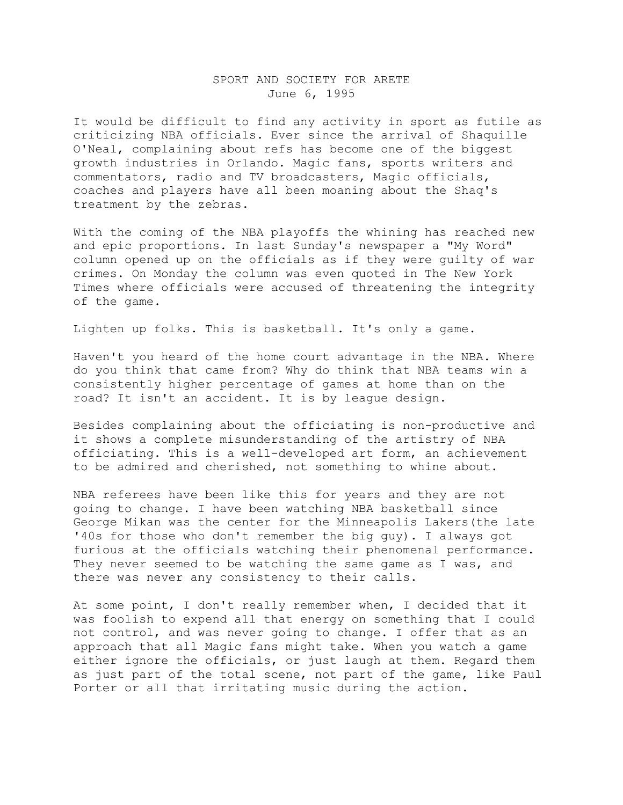## SPORT AND SOCIETY FOR ARETE June 6, 1995

It would be difficult to find any activity in sport as futile as criticizing NBA officials. Ever since the arrival of Shaquille O'Neal, complaining about refs has become one of the biggest growth industries in Orlando. Magic fans, sports writers and commentators, radio and TV broadcasters, Magic officials, coaches and players have all been moaning about the Shaq's treatment by the zebras.

With the coming of the NBA playoffs the whining has reached new and epic proportions. In last Sunday's newspaper a "My Word" column opened up on the officials as if they were guilty of war crimes. On Monday the column was even quoted in The New York Times where officials were accused of threatening the integrity of the game.

Lighten up folks. This is basketball. It's only a game.

Haven't you heard of the home court advantage in the NBA. Where do you think that came from? Why do think that NBA teams win a consistently higher percentage of games at home than on the road? It isn't an accident. It is by league design.

Besides complaining about the officiating is non-productive and it shows a complete misunderstanding of the artistry of NBA officiating. This is a well-developed art form, an achievement to be admired and cherished, not something to whine about.

NBA referees have been like this for years and they are not going to change. I have been watching NBA basketball since George Mikan was the center for the Minneapolis Lakers(the late '40s for those who don't remember the big guy). I always got furious at the officials watching their phenomenal performance. They never seemed to be watching the same game as I was, and there was never any consistency to their calls.

At some point, I don't really remember when, I decided that it was foolish to expend all that energy on something that I could not control, and was never going to change. I offer that as an approach that all Magic fans might take. When you watch a game either ignore the officials, or just laugh at them. Regard them as just part of the total scene, not part of the game, like Paul Porter or all that irritating music during the action.